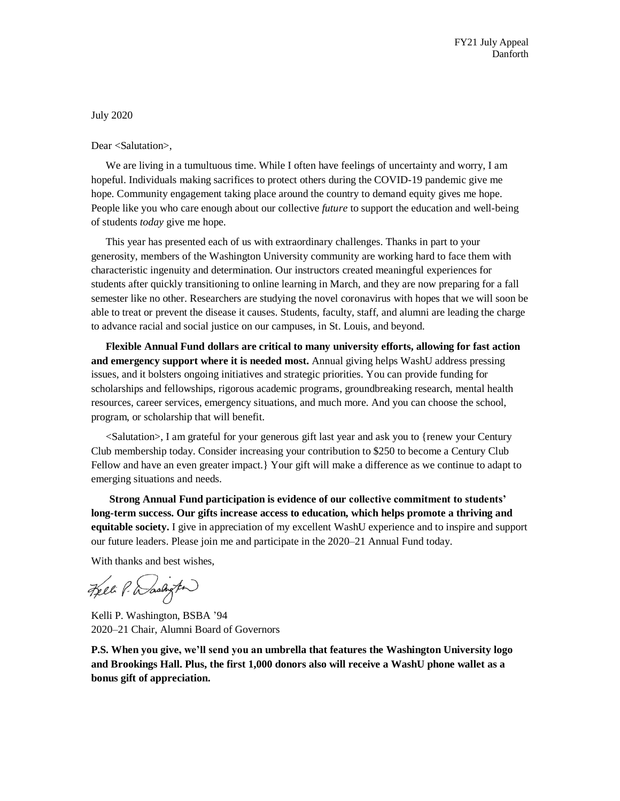July 2020

Dear <Salutation>,

We are living in a tumultuous time. While I often have feelings of uncertainty and worry, I am hopeful. Individuals making sacrifices to protect others during the COVID-19 pandemic give me hope. Community engagement taking place around the country to demand equity gives me hope. People like you who care enough about our collective *future* to support the education and well-being of students *today* give me hope.

This year has presented each of us with extraordinary challenges. Thanks in part to your generosity, members of the Washington University community are working hard to face them with characteristic ingenuity and determination. Our instructors created meaningful experiences for students after quickly transitioning to online learning in March, and they are now preparing for a fall semester like no other. Researchers are studying the novel coronavirus with hopes that we will soon be able to treat or prevent the disease it causes. Students, faculty, staff, and alumni are leading the charge to advance racial and social justice on our campuses, in St. Louis, and beyond.

**Flexible Annual Fund dollars are critical to many university efforts, allowing for fast action and emergency support where it is needed most.** Annual giving helps WashU address pressing issues, and it bolsters ongoing initiatives and strategic priorities. You can provide funding for scholarships and fellowships, rigorous academic programs, groundbreaking research, mental health resources, career services, emergency situations, and much more. And you can choose the school, program, or scholarship that will benefit.

<Salutation>, I am grateful for your generous gift last year and ask you to {renew your Century Club membership today. Consider increasing your contribution to \$250 to become a Century Club Fellow and have an even greater impact.} Your gift will make a difference as we continue to adapt to emerging situations and needs.

**Strong Annual Fund participation is evidence of our collective commitment to students' long-term success. Our gifts increase access to education, which helps promote a thriving and equitable society.** I give in appreciation of my excellent WashU experience and to inspire and support our future leaders. Please join me and participate in the 2020–21 Annual Fund today.

With thanks and best wishes,

Feel P. Dashigton

Kelli P. Washington, BSBA '94 2020–21 Chair, Alumni Board of Governors

**P.S. When you give, we'll send you an umbrella that features the Washington University logo and Brookings Hall. Plus, the first 1,000 donors also will receive a WashU phone wallet as a bonus gift of appreciation.**